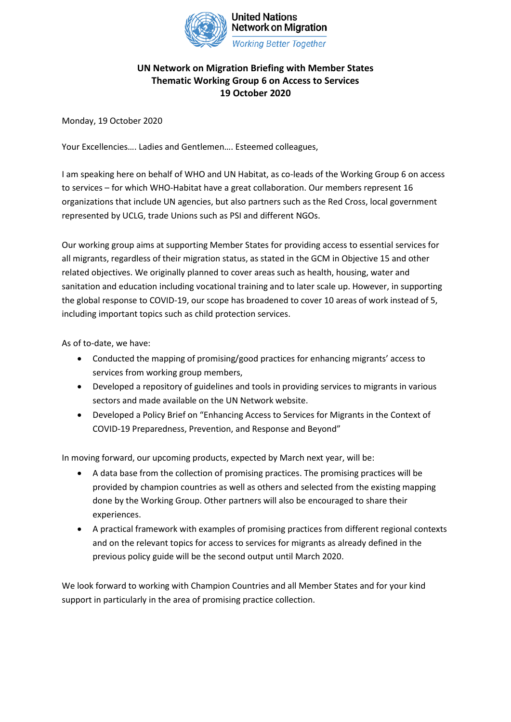

## **UN Network on Migration Briefing with Member States Thematic Working Group 6 on Access to Services 19 October 2020**

Monday, 19 October 2020

Your Excellencies…. Ladies and Gentlemen…. Esteemed colleagues,

I am speaking here on behalf of WHO and UN Habitat, as co-leads of the Working Group 6 on access to services – for which WHO-Habitat have a great collaboration. Our members represent 16 organizations that include UN agencies, but also partners such as the Red Cross, local government represented by UCLG, trade Unions such as PSI and different NGOs.

Our working group aims at supporting Member States for providing access to essential services for all migrants, regardless of their migration status, as stated in the GCM in Objective 15 and other related objectives. We originally planned to cover areas such as health, housing, water and sanitation and education including vocational training and to later scale up. However, in supporting the global response to COVID-19, our scope has broadened to cover 10 areas of work instead of 5, including important topics such as child protection services.

As of to-date, we have:

- Conducted the mapping of promising/good practices for enhancing migrants' access to services from working group members,
- Developed a repository of guidelines and tools in providing services to migrants in various sectors and made available on the UN Network website.
- Developed a Policy Brief on "Enhancing Access to Services for Migrants in the Context of COVID-19 Preparedness, Prevention, and Response and Beyond"

In moving forward, our upcoming products, expected by March next year, will be:

- A data base from the collection of promising practices. The promising practices will be provided by champion countries as well as others and selected from the existing mapping done by the Working Group. Other partners will also be encouraged to share their experiences.
- A practical framework with examples of promising practices from different regional contexts and on the relevant topics for access to services for migrants as already defined in the previous policy guide will be the second output until March 2020.

We look forward to working with Champion Countries and all Member States and for your kind support in particularly in the area of promising practice collection.